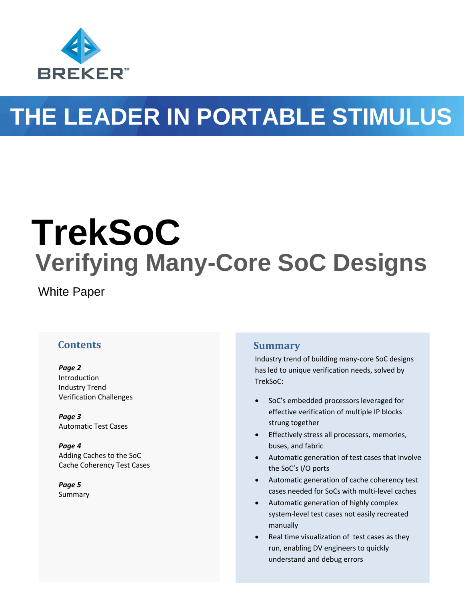

# **THE LEADER IN PORTABLE STIMULUS**

# **TrekSoC Verifying Many-Core SoC Designs**

White Paper

#### **Contents**

*Page 2* Introduction Industry Trend Verification Challenges

*Page 3* Automatic Test Cases

*Page 4* Adding Caches to the SoC Cache Coherency Test Cases

*Page 5* Summary

#### **Summary**

Industry trend of building many-core SoC designs has led to unique verification needs, solved by TrekSoC:

- SoC's embedded processors leveraged for effective verification of multiple IP blocks strung together
- **•** Effectively stress all processors, memories, buses, and fabric
- Automatic generation of test cases that involve the SoC's I/O ports
- Automatic generation of cache coherency test cases needed for SoCs with multi-level caches
- Automatic generation of highly complex system-level test cases not easily recreated manually
- Real time visualization of test cases as they run, enabling DV engineers to quickly understand and debug errors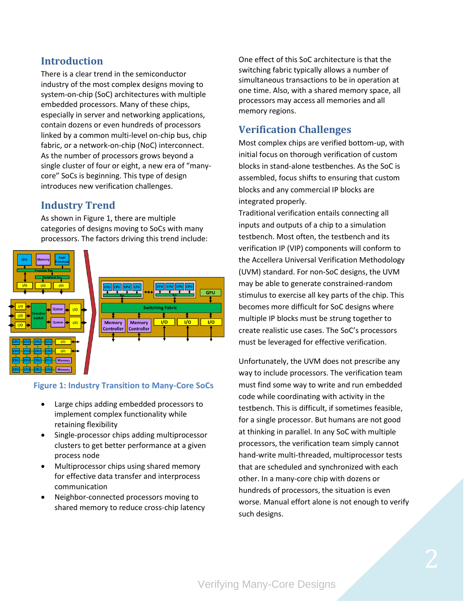## **Introduction**

There is a clear trend in the semiconductor industry of the most complex designs moving to system-on-chip (SoC) architectures with multiple embedded processors. Many of these chips, especially in server and networking applications, contain dozens or even hundreds of processors linked by a common multi-level on-chip bus, chip fabric, or a network-on-chip (NoC) interconnect. As the number of processors grows beyond a single cluster of four or eight, a new era of "manycore" SoCs is beginning. This type of design introduces new verification challenges.

## **Industry Trend**

As shown in Figure 1, there are multiple categories of designs moving to SoCs with many processors. The factors driving this trend include:



#### **Figure 1: Industry Transition to Many-Core SoCs**

- Large chips adding embedded processors to implement complex functionality while retaining flexibility
- Single-processor chips adding multiprocessor clusters to get better performance at a given process node
- Multiprocessor chips using shared memory for effective data transfer and interprocess communication
- Neighbor-connected processors moving to shared memory to reduce cross-chip latency

One effect of this SoC architecture is that the switching fabric typically allows a number of simultaneous transactions to be in operation at one time. Also, with a shared memory space, all processors may access all memories and all memory regions.

# **Verification Challenges**

Most complex chips are verified bottom-up, with initial focus on thorough verification of custom blocks in stand-alone testbenches. As the SoC is assembled, focus shifts to ensuring that custom blocks and any commercial IP blocks are integrated properly.

Traditional verification entails connecting all inputs and outputs of a chip to a simulation testbench. Most often, the testbench and its verification IP (VIP) components will conform to the Accellera Universal Verification Methodology (UVM) standard. For non-SoC designs, the UVM may be able to generate constrained-random stimulus to exercise all key parts of the chip. This becomes more difficult for SoC designs where multiple IP blocks must be strung together to create realistic use cases. The SoC's processors must be leveraged for effective verification.

Unfortunately, the UVM does not prescribe any way to include processors. The verification team must find some way to write and run embedded code while coordinating with activity in the testbench. This is difficult, if sometimes feasible, for a single processor. But humans are not good at thinking in parallel. In any SoC with multiple processors, the verification team simply cannot hand-write multi-threaded, multiprocessor tests that are scheduled and synchronized with each other. In a many-core chip with dozens or hundreds of processors, the situation is even worse. Manual effort alone is not enough to verify such designs.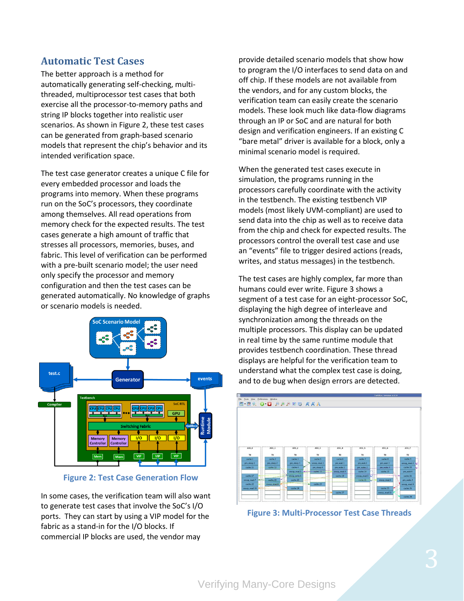#### **Automatic Test Cases**

The better approach is a method for automatically generating self-checking, multithreaded, multiprocessor test cases that both exercise all the processor-to-memory paths and string IP blocks together into realistic user scenarios. As shown in Figure 2, these test cases can be generated from graph-based scenario models that represent the chip's behavior and its intended verification space.

The test case generator creates a unique C file for every embedded processor and loads the programs into memory. When these programs run on the SoC's processors, they coordinate among themselves. All read operations from memory check for the expected results. The test cases generate a high amount of traffic that stresses all processors, memories, buses, and fabric. This level of verification can be performed with a pre-built scenario model; the user need only specify the processor and memory configuration and then the test cases can be generated automatically. No knowledge of graphs or scenario models is needed.



**Figure 2: Test Case Generation Flow** 

In some cases, the verification team will also want to generate test cases that involve the SoC's I/O ports. They can start by using a VIP model for the fabric as a stand-in for the I/O blocks. If commercial IP blocks are used, the vendor may

provide detailed scenario models that show how to program the I/O interfaces to send data on and off chip. If these models are not available from the vendors, and for any custom blocks, the verification team can easily create the scenario models. These look much like data-flow diagrams through an IP or SoC and are natural for both design and verification engineers. If an existing C "bare metal" driver is available for a block, only a minimal scenario model is required.

When the generated test cases execute in simulation, the programs running in the processors carefully coordinate with the activity in the testbench. The existing testbench VIP models (most likely UVM-compliant) are used to send data into the chip as well as to receive data from the chip and check for expected results. The processors control the overall test case and use an "events" file to trigger desired actions (reads, writes, and status messages) in the testbench.

The test cases are highly complex, far more than humans could ever write. Figure 3 shows a segment of a test case for an eight-processor SoC, displaying the high degree of interleave and synchronization among the threads on the multiple processors. This display can be updated in real time by the same runtime module that provides testbench coordination. These thread displays are helpful for the verification team to understand what the complex test case is doing, and to de bug when design errors are detected.



**Figure 3: Multi-Processor Test Case Threads**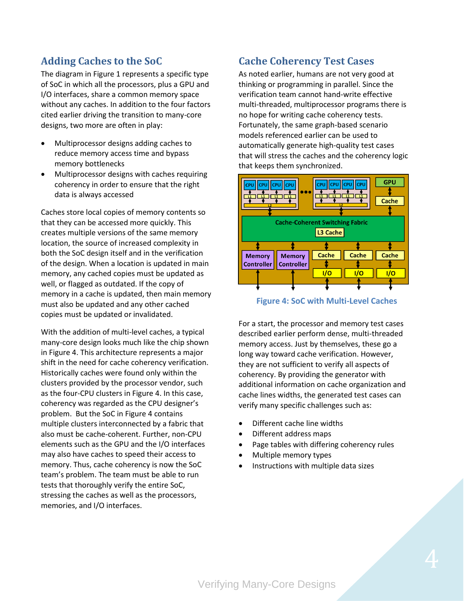# **Adding Caches to the SoC**

The diagram in Figure 1 represents a specific type of SoC in which all the processors, plus a GPU and I/O interfaces, share a common memory space without any caches. In addition to the four factors cited earlier driving the transition to many-core designs, two more are often in play:

- Multiprocessor designs adding caches to reduce memory access time and bypass memory bottlenecks
- Multiprocessor designs with caches requiring coherency in order to ensure that the right data is always accessed

Caches store local copies of memory contents so that they can be accessed more quickly. This creates multiple versions of the same memory location, the source of increased complexity in both the SoC design itself and in the verification of the design. When a location is updated in main memory, any cached copies must be updated as well, or flagged as outdated. If the copy of memory in a cache is updated, then main memory must also be updated and any other cached copies must be updated or invalidated.

With the addition of multi-level caches, a typical many-core design looks much like the chip shown in Figure 4. This architecture represents a major shift in the need for cache coherency verification. Historically caches were found only within the clusters provided by the processor vendor, such as the four-CPU clusters in Figure 4. In this case, coherency was regarded as the CPU designer's problem. But the SoC in Figure 4 contains multiple clusters interconnected by a fabric that also must be cache-coherent. Further, non-CPU elements such as the GPU and the I/O interfaces may also have caches to speed their access to memory. Thus, cache coherency is now the SoC team's problem. The team must be able to run tests that thoroughly verify the entire SoC, stressing the caches as well as the processors, memories, and I/O interfaces.

## **Cache Coherency Test Cases**

As noted earlier, humans are not very good at thinking or programming in parallel. Since the verification team cannot hand-write effective multi-threaded, multiprocessor programs there is no hope for writing cache coherency tests. Fortunately, the same graph-based scenario models referenced earlier can be used to automatically generate high-quality test cases that will stress the caches and the coherency logic that keeps them synchronized.



**Figure 4: SoC with Multi-Level Caches** 

For a start, the processor and memory test cases described earlier perform dense, multi-threaded memory access. Just by themselves, these go a long way toward cache verification. However, they are not sufficient to verify all aspects of coherency. By providing the generator with additional information on cache organization and cache lines widths, the generated test cases can verify many specific challenges such as:

- Different cache line widths
- Different address maps
- Page tables with differing coherency rules
- Multiple memory types
- Instructions with multiple data sizes